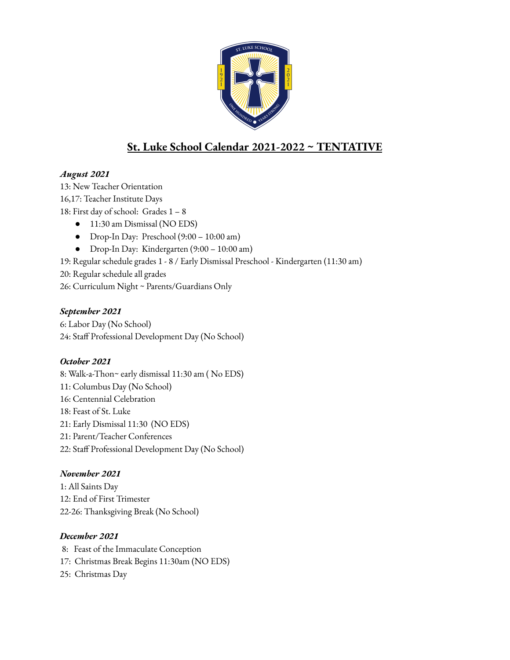

# **St. Luke School Calendar 2021-2022 ~ TENTATIVE**

### *August 2021*

13: New Teacher Orientation 16,17: Teacher Institute Days 18: First day of school: Grades 1 – 8

- 11:30 am Dismissal (NO EDS)
- Drop-In Day: Preschool (9:00 10:00 am)
- Drop-In Day: Kindergarten (9:00 10:00 am)

19: Regular schedule grades 1 - 8 / Early Dismissal Preschool - Kindergarten (11:30 am)

20: Regular schedule all grades

26: Curriculum Night ~ Parents/Guardians Only

### *September 2021*

6: Labor Day (No School) 24: Staff Professional Development Day (No School)

### *October 2021*

8: Walk-a-Thon~ early dismissal 11:30 am ( No EDS) 11: Columbus Day (No School) 16: Centennial Celebration 18: Feast of St. Luke 21: Early Dismissal 11:30 (NO EDS) 21: Parent/Teacher Conferences 22: Staff Professional Development Day (No School)

## *November 2021*

1: All Saints Day 12: End of First Trimester 22-26: Thanksgiving Break (No School)

### *December 2021*

8: Feast of the Immaculate Conception 17: Christmas Break Begins 11:30am (NO EDS) 25: Christmas Day